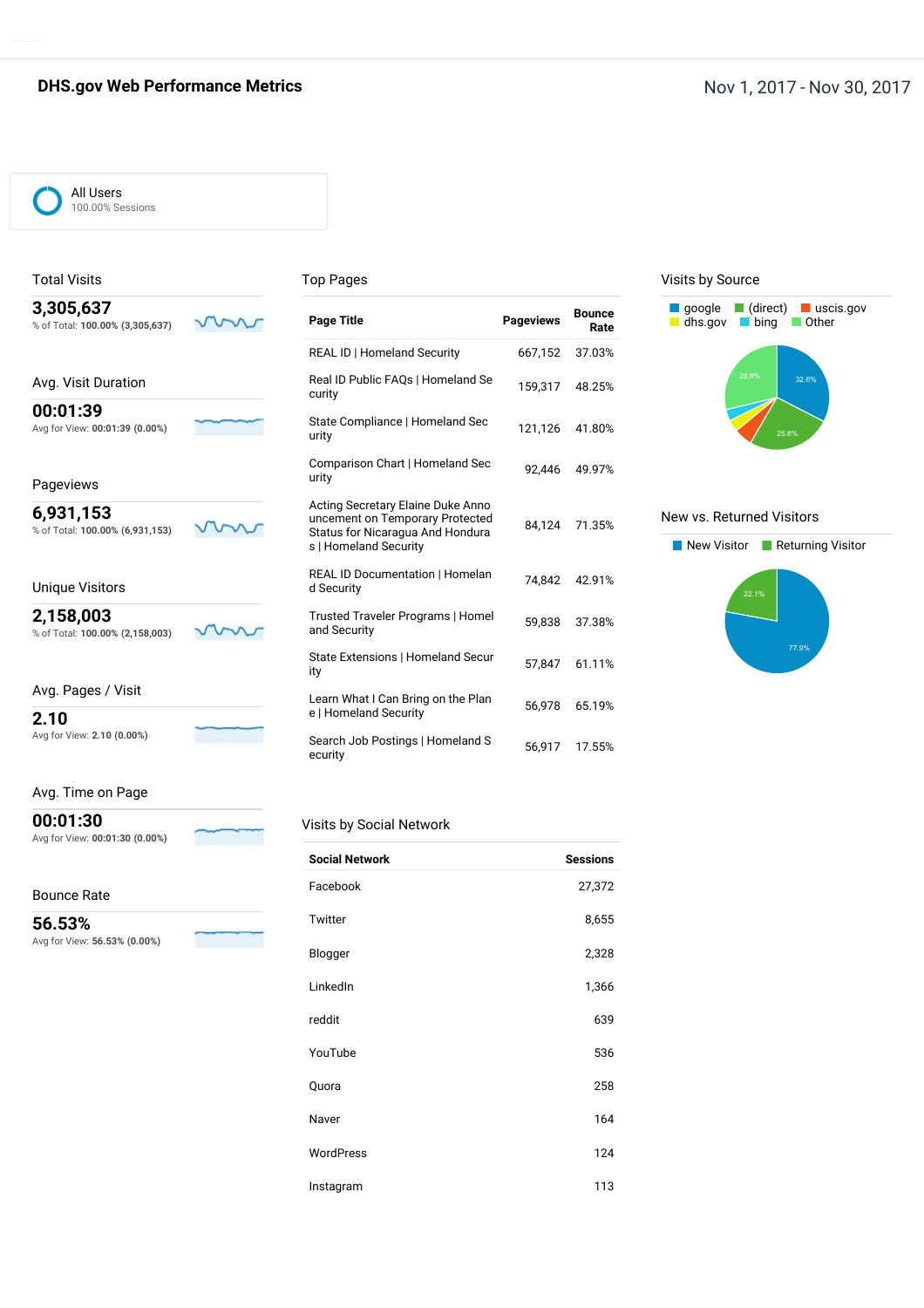### **DHS.gov Web Performance Metrics Nov 1, 2017 - Nov 30, 2017**

#### All Users 100.00% Sessions

Total Visits

#### Top Pages

| 3,305,637<br>% of Total: 100.00% (3,305,637) | <b>Page Title</b>                                                                                                                 | <b>Pageviews</b> | <b>Bounce</b><br>Rate |
|----------------------------------------------|-----------------------------------------------------------------------------------------------------------------------------------|------------------|-----------------------|
|                                              | <b>REAL ID   Homeland Security</b>                                                                                                | 667,152          | 37.03%                |
| Avg. Visit Duration                          | Real ID Public FAQs   Homeland Se<br>curity                                                                                       | 159,317          | 48.25%                |
| 00:01:39<br>Avg for View: 00:01:39 (0.00%)   | State Compliance   Homeland Sec<br>urity                                                                                          | 121,126          | 41.80%                |
| Pageviews                                    | Comparison Chart   Homeland Sec<br>urity                                                                                          | 92.446           | 49.97%                |
| 6,931,153<br>% of Total: 100.00% (6,931,153) | Acting Secretary Elaine Duke Anno<br>uncement on Temporary Protected<br>Status for Nicaragua And Hondura<br>s   Homeland Security | 84,124           | 71.35%                |
| Unique Visitors                              | <b>REAL ID Documentation   Homelan</b><br>d Security                                                                              | 74.842           | 42.91%                |
| 2,158,003<br>% of Total: 100.00% (2,158,003) | Trusted Traveler Programs   Homel<br>and Security                                                                                 | 59,838           | 37.38%                |

Avg. Pages / Visit

**2.10** Avg for View: **2.10 (0.00%)**

#### Avg. Time on Page

**00:01:30** Avg for View: **00:01:30 (0.00%)**

#### Bounce Rate

**56.53%** Avg for View: **56.53% (0.00%)**

| %                  |  |
|--------------------|--|
| ew: 56.53% (0.00%) |  |
|                    |  |

| Real ID Public FAQs   Homeland Se<br>curity                                                                                       | 159,317 | 48.25% |
|-----------------------------------------------------------------------------------------------------------------------------------|---------|--------|
| State Compliance   Homeland Sec<br>urity                                                                                          | 121,126 | 41.80% |
| Comparison Chart   Homeland Sec<br>urity                                                                                          | 92.446  | 49.97% |
| Acting Secretary Elaine Duke Anno<br>uncement on Temporary Protected<br>Status for Nicaragua And Hondura<br>s   Homeland Security | 84,124  | 71.35% |
| <b>REAL ID Documentation   Homelan</b><br>d Security                                                                              | 74.842  | 42.91% |
| Trusted Traveler Programs   Homel<br>and Security                                                                                 | 59,838  | 37.38% |
| State Extensions   Homeland Secur<br>ity                                                                                          | 57,847  | 61.11% |
| Learn What I Can Bring on the Plan<br>e   Homeland Security                                                                       | 56,978  | 65.19% |
| Search Job Postings   Homeland S<br>ecurity                                                                                       | 56,917  | 17.55% |

#### Visits by Source



#### New vs. Returned Visitors



#### Visits by Social Network

| <b>Social Network</b> | <b>Sessions</b> |
|-----------------------|-----------------|
| Facebook              | 27,372          |
| Twitter               | 8,655           |
| Blogger               | 2,328           |
| LinkedIn              | 1,366           |
| reddit                | 639             |
| YouTube               | 536             |
| Quora                 | 258             |
| Naver                 | 164             |
| <b>WordPress</b>      | 124             |
| Instagram             | 113             |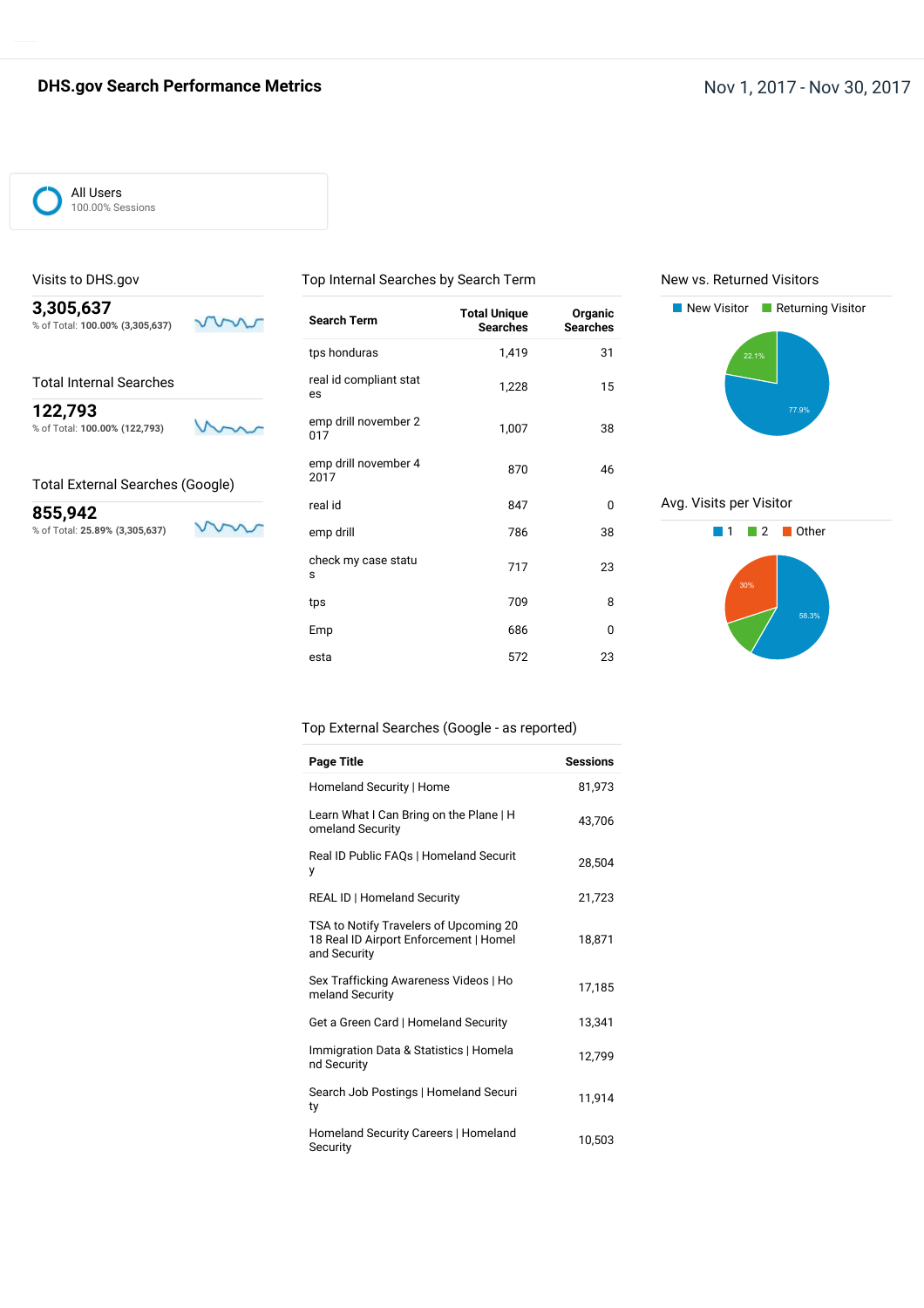### **DHS.gov Search Performance Metrics Nov 1, 2017 - Nov 30, 2017**

All Users 100.00% Sessions

Visits to DHS.gov

#### Top Internal Searches by Search Term

New vs. Returned Visitors

22.1%

Avg. Visits per Visitor

New Visitor **Returning Visitor** 



| Search Term                  | <b>Total Unique</b><br><b>Searches</b> | Organic<br><b>Searches</b> |
|------------------------------|----------------------------------------|----------------------------|
| tps honduras                 | 1,419                                  | 31                         |
| real id compliant stat<br>es | 1,228                                  | 15                         |
| emp drill november 2<br>017  | 1,007                                  | 38                         |
| emp drill november 4<br>2017 | 870                                    | 46                         |
| real id                      | 847                                    | 0                          |
| emp drill                    | 786                                    | 38                         |
| check my case statu<br>s     | 717                                    | 23                         |
| tps                          | 709                                    | 8                          |
| Emp                          | 686                                    | 0                          |
| esta                         | 572                                    | 23                         |
|                              |                                        |                            |



#### Top External Searches (Google - as reported)

| Page Title                                                                                       | <b>Sessions</b> |
|--------------------------------------------------------------------------------------------------|-----------------|
| Homeland Security   Home                                                                         | 81.973          |
| Learn What I Can Bring on the Plane   H<br>omeland Security                                      | 43.706          |
| Real ID Public FAQs   Homeland Securit<br>у                                                      | 28,504          |
| REAL ID   Homeland Security                                                                      | 21,723          |
| TSA to Notify Travelers of Upcoming 20<br>18 Real ID Airport Enforcement   Homel<br>and Security | 18,871          |
| Sex Trafficking Awareness Videos   Ho<br>meland Security                                         | 17,185          |
| Get a Green Card   Homeland Security                                                             | 13,341          |
| Immigration Data & Statistics   Homela<br>nd Security                                            | 12,799          |
| Search Job Postings   Homeland Securi<br>ty                                                      | 11,914          |
| Homeland Security Careers   Homeland<br>Security                                                 | 10,503          |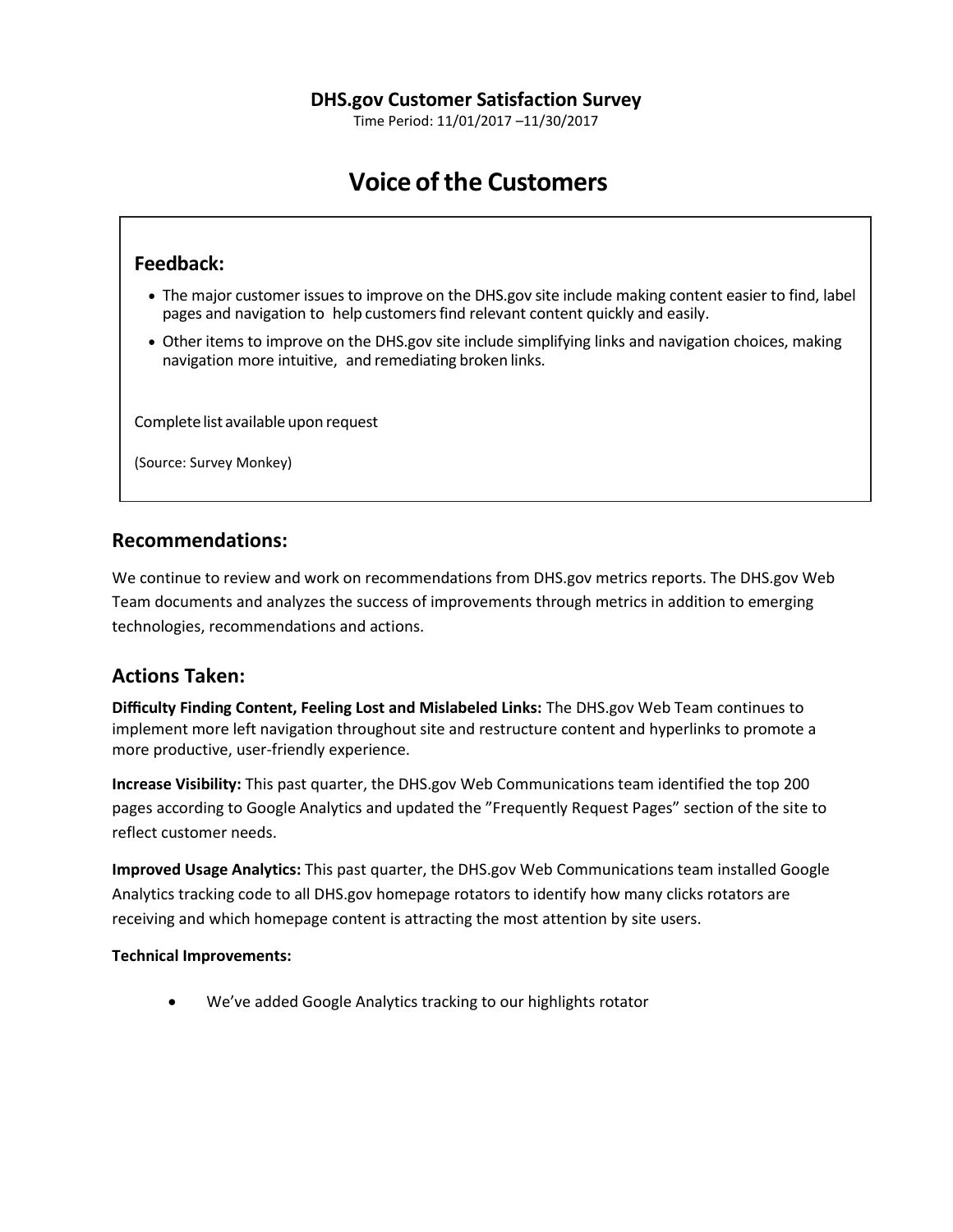Time Period: 11/01/2017 –11/30/2017

# **Voice of the Customers**

# **Feedback:**

- The major customer issues to improve on the DHS.gov site include making content easier to find, label pages and navigation to help customersfind relevant content quickly and easily.
- Other items to improve on the DHS.gov site include simplifying links and navigation choices, making navigation more intuitive, and remediating broken links.

Complete list available upon request

(Source: Survey Monkey)

# **Recommendations:**

We continue to review and work on recommendations from DHS.gov metrics reports. The DHS.gov Web Team documents and analyzes the success of improvements through metrics in addition to emerging technologies, recommendations and actions.

# **Actions Taken:**

**Difficulty Finding Content, Feeling Lost and Mislabeled Links:** The DHS.gov Web Team continues to implement more left navigation throughout site and restructure content and hyperlinks to promote a more productive, user-friendly experience.

**Increase Visibility:** This past quarter, the DHS.gov Web Communications team identified the top 200 pages according to Google Analytics and updated the "Frequently Request Pages" section of the site to reflect customer needs.

**Improved Usage Analytics:** This past quarter, the DHS.gov Web Communications team installed Google Analytics tracking code to all DHS.gov homepage rotators to identify how many clicks rotators are receiving and which homepage content is attracting the most attention by site users.

#### **Technical Improvements:**

We've added Google Analytics tracking to our highlights rotator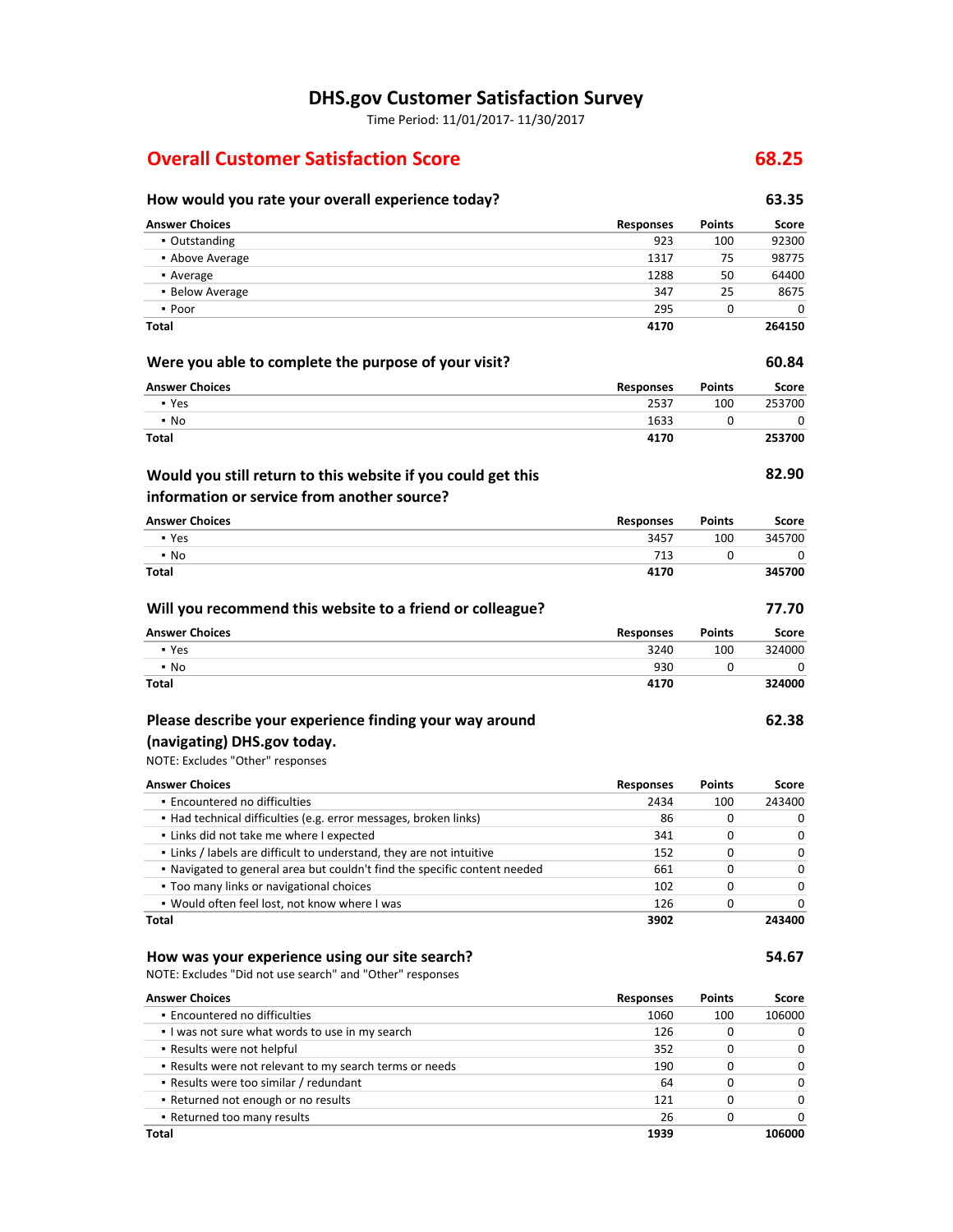# **DHS.gov Customer Satisfaction Survey**

Time Period: 11/01/2017- 11/30/2017

# **Overall Customer Satisfaction Score 68.25**

# **How would you rate your overall experience today? 63.35**

| <b>Answer Choices</b>                                                     | Responses        | Points | Score  |
|---------------------------------------------------------------------------|------------------|--------|--------|
| • Outstanding                                                             | 923              | 100    | 92300  |
| • Above Average                                                           | 1317             | 75     | 98775  |
| • Average                                                                 | 1288             | 50     | 64400  |
| • Below Average                                                           | 347              | 25     | 8675   |
| • Poor                                                                    | 295              | 0      | 0      |
| Total                                                                     | 4170             |        | 264150 |
| Were you able to complete the purpose of your visit?                      |                  |        | 60.84  |
| <b>Answer Choices</b>                                                     | <b>Responses</b> | Points | Score  |
| • Yes                                                                     | 2537             | 100    | 253700 |
| $\cdot$ No                                                                | 1633             | 0      | 0      |
| <b>Total</b>                                                              | 4170             |        | 253700 |
| Would you still return to this website if you could get this              |                  |        | 82.90  |
| information or service from another source?                               |                  |        |        |
| <b>Answer Choices</b>                                                     | <b>Responses</b> | Points | Score  |
| • Yes                                                                     | 3457             | 100    | 345700 |
| $\blacksquare$ No                                                         | 713              | 0      | 0      |
| <b>Total</b>                                                              | 4170             |        | 345700 |
| Will you recommend this website to a friend or colleague?                 |                  |        | 77.70  |
| <b>Answer Choices</b>                                                     | <b>Responses</b> | Points | Score  |
| • Yes                                                                     | 3240             | 100    | 324000 |
| $\blacksquare$ No                                                         | 930              | 0      | 0      |
| Total                                                                     | 4170             |        | 324000 |
| Please describe your experience finding your way around                   |                  |        | 62.38  |
| (navigating) DHS.gov today.                                               |                  |        |        |
| NOTE: Excludes "Other" responses                                          |                  |        |        |
|                                                                           |                  |        |        |
| <b>Answer Choices</b>                                                     | <b>Responses</b> | Points | Score  |
| • Encountered no difficulties                                             | 2434             | 100    | 243400 |
| · Had technical difficulties (e.g. error messages, broken links)          | 86               | 0      | 0      |
| . Links did not take me where I expected                                  | 341              | 0      | 0      |
| . Links / labels are difficult to understand, they are not intuitive      | 152              | 0      | 0      |
| . Navigated to general area but couldn't find the specific content needed | 661              | 0      | 0      |
| • Too many links or navigational choices                                  | 102              | 0      | 0      |
| . Would often feel lost, not know where I was                             | 126              | 0      | 0      |
| Total                                                                     | 3902             |        | 243400 |
| How was your experience using our site search?                            |                  |        | 54.67  |
| NOTE: Excludes "Did not use search" and "Other" responses                 |                  |        |        |
| <b>Answer Choices</b>                                                     | <b>Responses</b> | Points | Score  |
| • Encountered no difficulties                                             | 1060             | 100    | 106000 |
| . I was not sure what words to use in my search                           | 126              | 0      | 0      |
| . Results were not helpful                                                | 352              | 0      | 0      |
| . Results were not relevant to my search terms or needs                   | 190              | 0      | 0      |
| - Results were too similar / redundant                                    | 64               | 0      | 0      |
| • Returned not enough or no results                                       | 121              | 0      | 0      |
| . Returned too many results                                               | 26               | 0      | 0      |